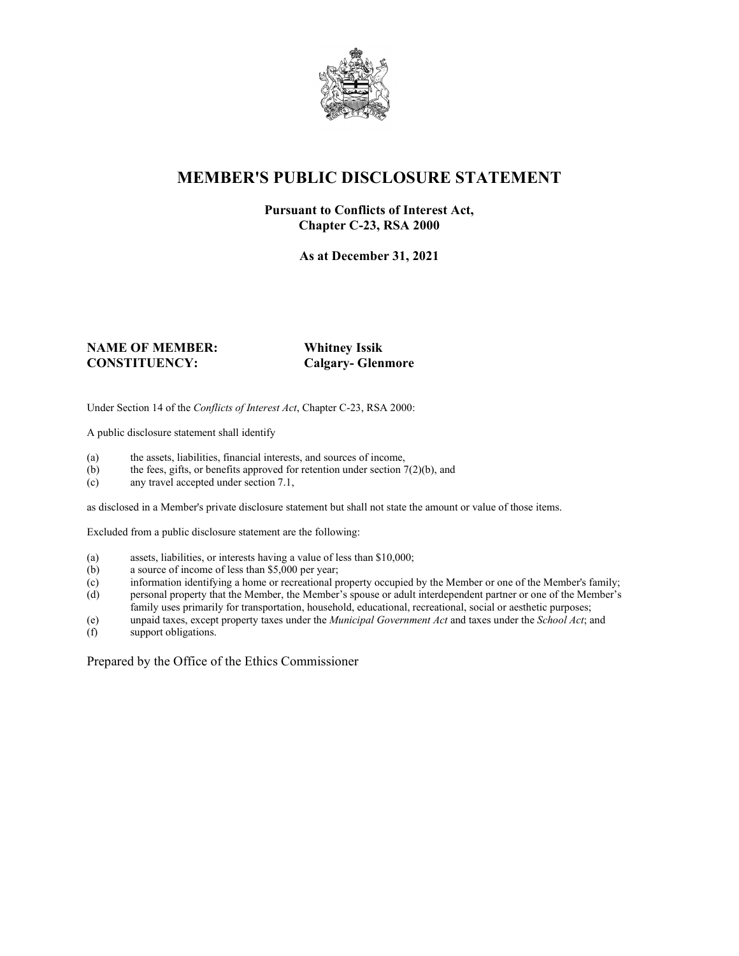

## **MEMBER'S PUBLIC DISCLOSURE STATEMENT**

#### **Pursuant to Conflicts of Interest Act, Chapter C-23, RSA 2000**

**As at December 31, 2021**

#### **NAME OF MEMBER: Whitney Issik CONSTITUENCY: Calgary- Glenmore**

Under Section 14 of the *Conflicts of Interest Act*, Chapter C-23, RSA 2000:

A public disclosure statement shall identify

- (a) the assets, liabilities, financial interests, and sources of income,  $(b)$  the fees, gifts, or benefits approved for retention under section 7
- the fees, gifts, or benefits approved for retention under section  $7(2)(b)$ , and
- (c) any travel accepted under section 7.1,

as disclosed in a Member's private disclosure statement but shall not state the amount or value of those items.

Excluded from a public disclosure statement are the following:

- (a) assets, liabilities, or interests having a value of less than \$10,000;<br>(b) a source of income of less than \$5,000 per year;
- a source of income of less than  $$5,000$  per year;
- (c) information identifying a home or recreational property occupied by the Member or one of the Member's family;
- (d) personal property that the Member, the Member's spouse or adult interdependent partner or one of the Member's family uses primarily for transportation, household, educational, recreational, social or aesthetic purposes;
- (e) unpaid taxes, except property taxes under the *Municipal Government Act* and taxes under the *School Act*; and
- (f) support obligations.

Prepared by the Office of the Ethics Commissioner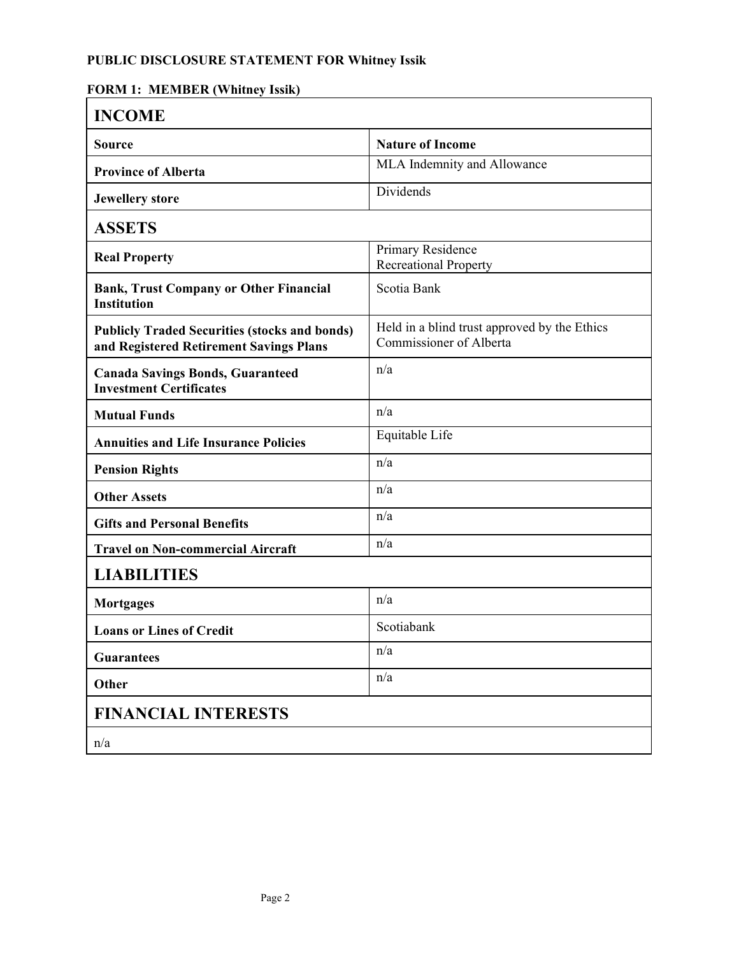### **PUBLIC DISCLOSURE STATEMENT FOR Whitney Issik**

### **FORM 1: MEMBER (Whitney Issik)**

| <b>INCOME</b>                                                                                   |                                                                         |
|-------------------------------------------------------------------------------------------------|-------------------------------------------------------------------------|
| <b>Source</b>                                                                                   | <b>Nature of Income</b>                                                 |
| <b>Province of Alberta</b>                                                                      | MLA Indemnity and Allowance                                             |
| <b>Jewellery</b> store                                                                          | Dividends                                                               |
| <b>ASSETS</b>                                                                                   |                                                                         |
| <b>Real Property</b>                                                                            | Primary Residence<br><b>Recreational Property</b>                       |
| <b>Bank, Trust Company or Other Financial</b><br><b>Institution</b>                             | Scotia Bank                                                             |
| <b>Publicly Traded Securities (stocks and bonds)</b><br>and Registered Retirement Savings Plans | Held in a blind trust approved by the Ethics<br>Commissioner of Alberta |
| <b>Canada Savings Bonds, Guaranteed</b><br><b>Investment Certificates</b>                       | n/a                                                                     |
| <b>Mutual Funds</b>                                                                             | n/a                                                                     |
| <b>Annuities and Life Insurance Policies</b>                                                    | Equitable Life                                                          |
| <b>Pension Rights</b>                                                                           | n/a                                                                     |
| <b>Other Assets</b>                                                                             | n/a                                                                     |
| <b>Gifts and Personal Benefits</b>                                                              | n/a                                                                     |
| <b>Travel on Non-commercial Aircraft</b>                                                        | n/a                                                                     |
| <b>LIABILITIES</b>                                                                              |                                                                         |
| <b>Mortgages</b>                                                                                | n/a                                                                     |
| <b>Loans or Lines of Credit</b>                                                                 | Scotiabank                                                              |
| <b>Guarantees</b>                                                                               | n/a                                                                     |
| Other                                                                                           | n/a                                                                     |
| <b>FINANCIAL INTERESTS</b>                                                                      |                                                                         |
| n/a                                                                                             |                                                                         |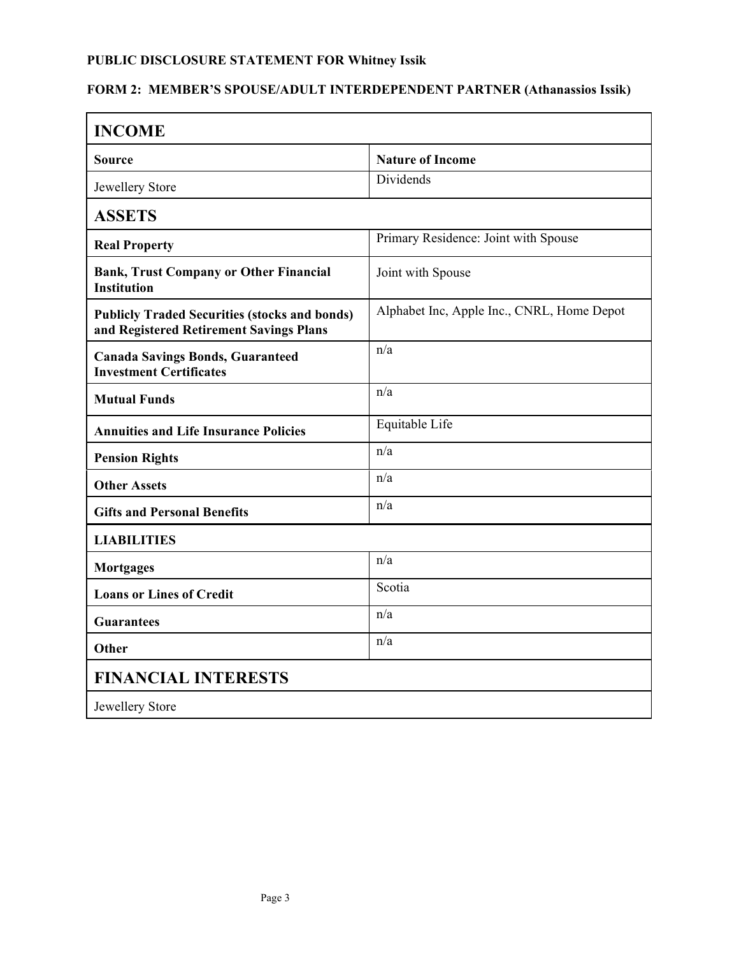# **PUBLIC DISCLOSURE STATEMENT FOR Whitney Issik**

### **FORM 2: MEMBER'S SPOUSE/ADULT INTERDEPENDENT PARTNER (Athanassios Issik)**

| <b>INCOME</b>                                                                                   |                                            |  |
|-------------------------------------------------------------------------------------------------|--------------------------------------------|--|
| Source                                                                                          | <b>Nature of Income</b>                    |  |
| Jewellery Store                                                                                 | Dividends                                  |  |
| <b>ASSETS</b>                                                                                   |                                            |  |
| <b>Real Property</b>                                                                            | Primary Residence: Joint with Spouse       |  |
| <b>Bank, Trust Company or Other Financial</b><br><b>Institution</b>                             | Joint with Spouse                          |  |
| <b>Publicly Traded Securities (stocks and bonds)</b><br>and Registered Retirement Savings Plans | Alphabet Inc, Apple Inc., CNRL, Home Depot |  |
| <b>Canada Savings Bonds, Guaranteed</b><br><b>Investment Certificates</b>                       | n/a                                        |  |
| <b>Mutual Funds</b>                                                                             | n/a                                        |  |
| <b>Annuities and Life Insurance Policies</b>                                                    | Equitable Life                             |  |
| <b>Pension Rights</b>                                                                           | n/a                                        |  |
| <b>Other Assets</b>                                                                             | n/a                                        |  |
| <b>Gifts and Personal Benefits</b>                                                              | n/a                                        |  |
| <b>LIABILITIES</b>                                                                              |                                            |  |
| <b>Mortgages</b>                                                                                | n/a                                        |  |
| <b>Loans or Lines of Credit</b>                                                                 | Scotia                                     |  |
| Guarantees                                                                                      | n/a                                        |  |
| <b>Other</b>                                                                                    | n/a                                        |  |
| <b>FINANCIAL INTERESTS</b>                                                                      |                                            |  |
| Jewellery Store                                                                                 |                                            |  |